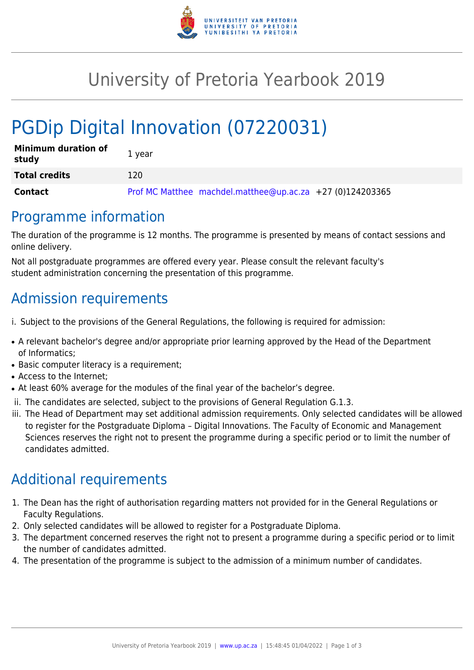

## University of Pretoria Yearbook 2019

# PGDip Digital Innovation (07220031)

| <b>Minimum duration of</b><br>study | 1 year                                                      |
|-------------------------------------|-------------------------------------------------------------|
| <b>Total credits</b>                | 120                                                         |
| Contact                             | Prof MC Matthee machdel.matthee@up.ac.za $+27$ (0)124203365 |

#### Programme information

The duration of the programme is 12 months. The programme is presented by means of contact sessions and online delivery.

Not all postgraduate programmes are offered every year. Please consult the relevant faculty's student administration concerning the presentation of this programme.

#### Admission requirements

- i. Subject to the provisions of the General Regulations, the following is required for admission:
- A relevant bachelor's degree and/or appropriate prior learning approved by the Head of the Department of Informatics;
- Basic computer literacy is a requirement;
- Access to the Internet;
- At least 60% average for the modules of the final year of the bachelor's degree.
- ii. The candidates are selected, subject to the provisions of General Regulation G.1.3.
- iii. The Head of Department may set additional admission requirements. Only selected candidates will be allowed to register for the Postgraduate Diploma – Digital Innovations. The Faculty of Economic and Management Sciences reserves the right not to present the programme during a specific period or to limit the number of candidates admitted.

### Additional requirements

- 1. The Dean has the right of authorisation regarding matters not provided for in the General Regulations or Faculty Regulations.
- 2. Only selected candidates will be allowed to register for a Postgraduate Diploma.
- 3. The department concerned reserves the right not to present a programme during a specific period or to limit the number of candidates admitted.
- 4. The presentation of the programme is subject to the admission of a minimum number of candidates.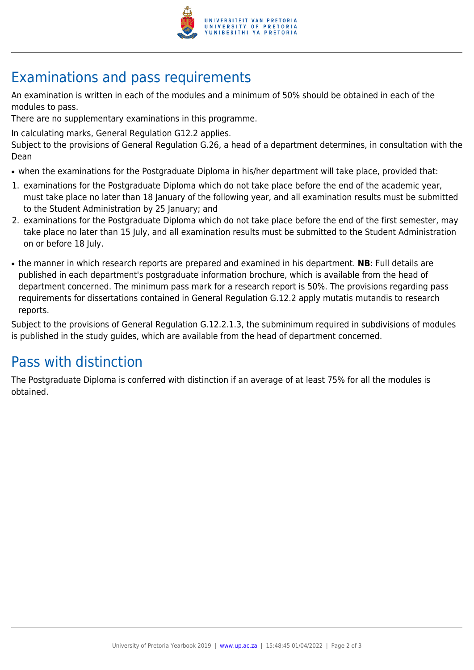

## Examinations and pass requirements

An examination is written in each of the modules and a minimum of 50% should be obtained in each of the modules to pass.

There are no supplementary examinations in this programme.

In calculating marks, General Regulation G12.2 applies.

Subject to the provisions of General Regulation G.26, a head of a department determines, in consultation with the Dean

- when the examinations for the Postgraduate Diploma in his/her department will take place, provided that:
- 1. examinations for the Postgraduate Diploma which do not take place before the end of the academic year, must take place no later than 18 January of the following year, and all examination results must be submitted to the Student Administration by 25 January; and
- 2. examinations for the Postgraduate Diploma which do not take place before the end of the first semester, may take place no later than 15 July, and all examination results must be submitted to the Student Administration on or before 18 July.
- the manner in which research reports are prepared and examined in his department. **NB**: Full details are published in each department's postgraduate information brochure, which is available from the head of department concerned. The minimum pass mark for a research report is 50%. The provisions regarding pass requirements for dissertations contained in General Regulation G.12.2 apply mutatis mutandis to research reports.

Subject to the provisions of General Regulation G.12.2.1.3, the subminimum required in subdivisions of modules is published in the study guides, which are available from the head of department concerned.

### Pass with distinction

The Postgraduate Diploma is conferred with distinction if an average of at least 75% for all the modules is obtained.